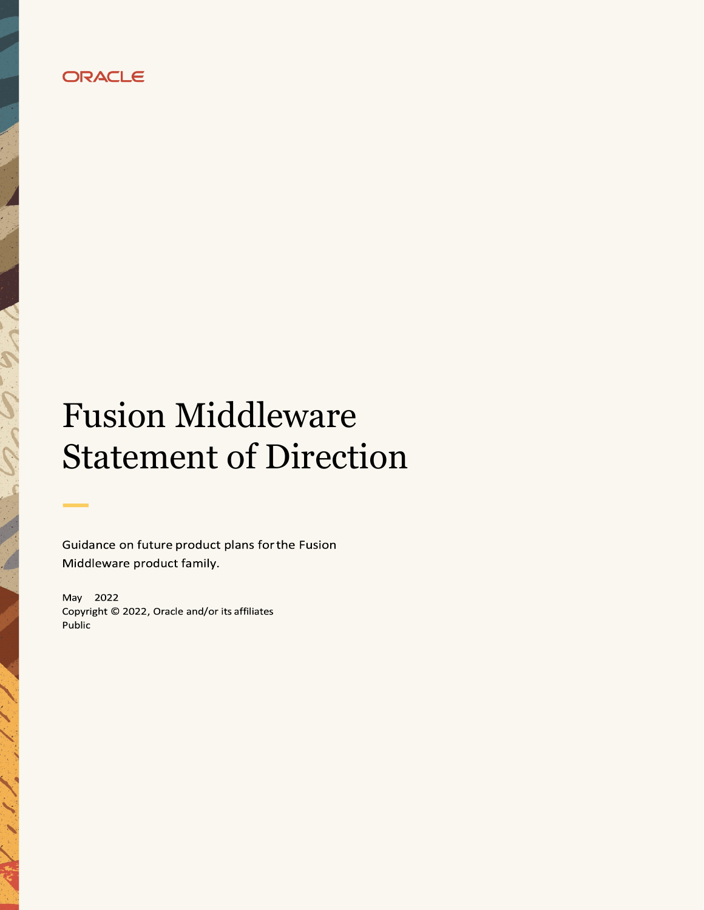

# Fusion Middleware Statement of Direction

Guidance on future product plans for the Fusion Middleware product family.

May 2022 Copyright © 2022, Oracle and/or its affiliates Public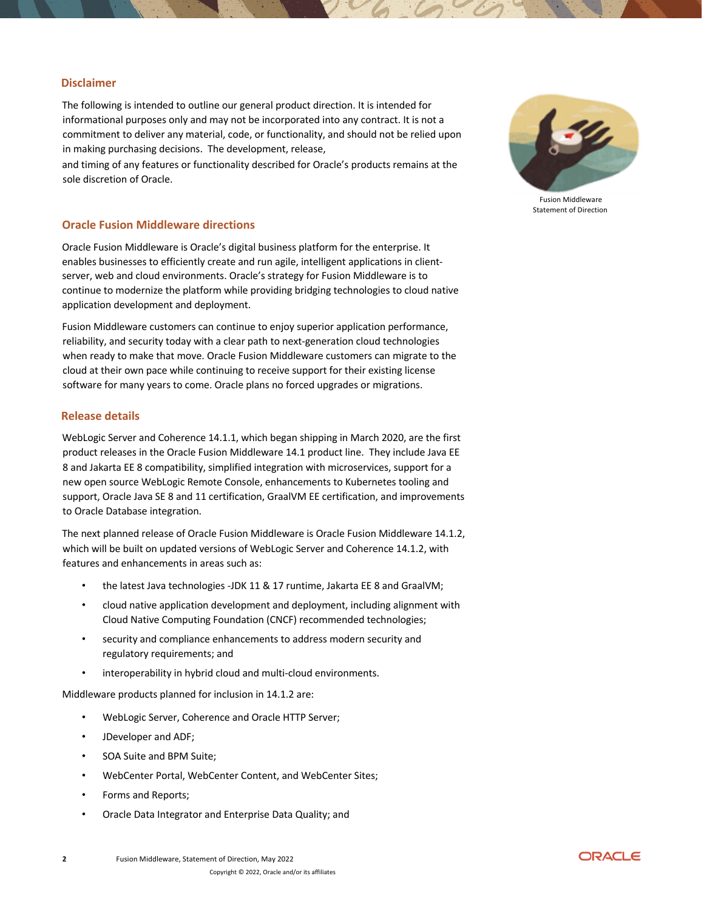### **Disclaimer**

The following is intended to outline our general product direction. It is intended for informational purposes only and may not be incorporated into any contract. It is not a commitment to deliver any material, code, or functionality, and should not be relied upon in making purchasing decisions. The development, release,

and timing of any features or functionality described for Oracle's products remains at the sole discretion of Oracle.

#### **Oracle Fusion Middleware directions**

Oracle Fusion Middleware is Oracle's digital business platform for the enterprise. It enables businesses to efficiently create and run agile, intelligent applications in clientserver, web and cloud environments. Oracle's strategy for Fusion Middleware is to continue to modernize the platform while providing bridging technologies to cloud native application development and deployment.

Fusion Middleware customers can continue to enjoy superior application performance, reliability, and security today with a clear path to next-generation cloud technologies when ready to make that move. Oracle Fusion Middleware customers can migrate to the cloud at their own pace while continuing to receive support for their existing license software for many years to come. Oracle plans no forced upgrades or migrations.

#### **Release details**

WebLogic Server and Coherence 14.1.1, which began shipping in March 2020, are the first product releases in the Oracle Fusion Middleware 14.1 product line. They include Java EE 8 and Jakarta EE 8 compatibility, simplified integration with microservices, support for a new open source WebLogic Remote Console, enhancements to Kubernetes tooling and support, Oracle Java SE 8 and 11 certification, GraalVM EE certification, and improvements to Oracle Database integration.

The next planned release of Oracle Fusion Middleware is Oracle Fusion Middleware 14.1.2, which will be built on updated versions of WebLogic Server and Coherence 14.1.2, with features and enhancements in areas such as:

- the latest Java technologies -JDK 11 & 17 runtime, Jakarta EE 8 and GraalVM;
- cloud native application development and deployment, including alignment with Cloud Native Computing Foundation (CNCF) recommended technologies;
- security and compliance enhancements to address modern security and regulatory requirements; and
- interoperability in hybrid cloud and multi-cloud environments.

Middleware products planned for inclusion in 14.1.2 are:

- WebLogic Server, Coherence and Oracle HTTP Server;
- JDeveloper and ADF;
- SOA Suite and BPM Suite;
- WebCenter Portal, WebCenter Content, and WebCenter Sites;
- Forms and Reports;
- Oracle Data Integrator and Enterprise Data Quality; and



Fusion Middleware Statement of Direction

**2** Fusion Middleware, Statement of Direction, May 2022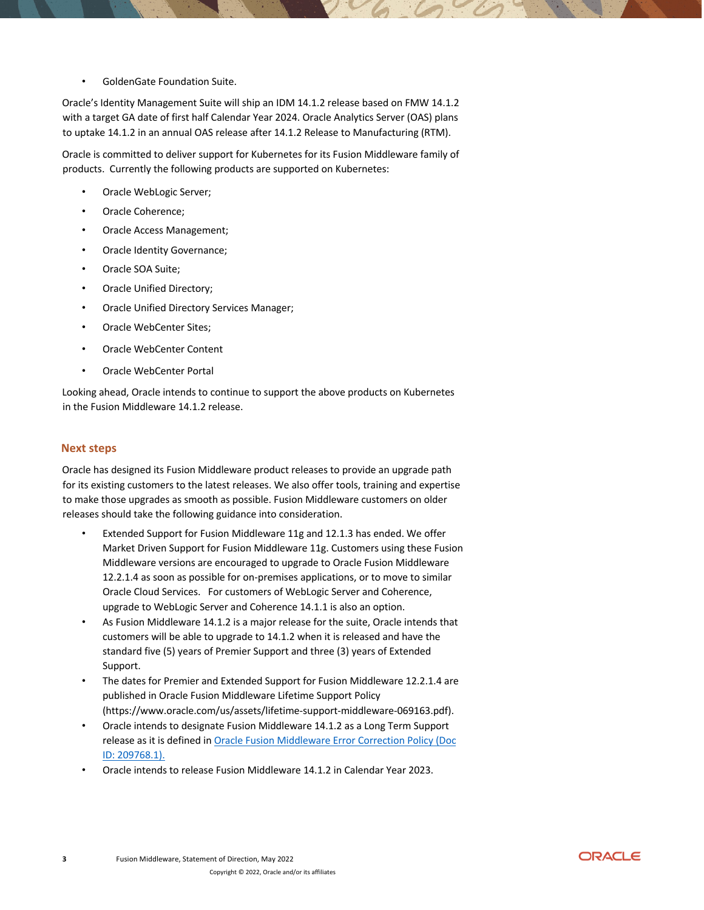• GoldenGate Foundation Suite.

Oracle's Identity Management Suite will ship an IDM 14.1.2 release based on FMW 14.1.2 with a target GA date of first half Calendar Year 2024. Oracle Analytics Server (OAS) plans to uptake 14.1.2 in an annual OAS release after 14.1.2 Release to Manufacturing (RTM).

Oracle is committed to deliver support for Kubernetes for its Fusion Middleware family of products. Currently the following products are supported on Kubernetes:

- Oracle WebLogic Server;
- Oracle Coherence;
- Oracle Access Management;
- Oracle Identity Governance;
- Oracle SOA Suite;
- Oracle Unified Directory;
- Oracle Unified Directory Services Manager;
- Oracle WebCenter Sites;
- Oracle WebCenter Content
- Oracle WebCenter Portal

Looking ahead, Oracle intends to continue to support the above products on Kubernetes in the Fusion Middleware 14.1.2 release.

### **Next steps**

Oracle has designed its Fusion Middleware product releases to provide an upgrade path for its existing customers to the latest releases. We also offer tools, training and expertise to make those upgrades as smooth as possible. Fusion Middleware customers on older releases should take the following guidance into consideration.

- Extended Support for Fusion Middleware 11g and 12.1.3 has ended. We offer Market Driven Support for Fusion Middleware 11g. Customers using these Fusion Middleware versions are encouraged to upgrade to Oracle Fusion Middleware 12.2.1.4 as soon as possible for on-premises applications, or to move to similar Oracle Cloud Services. For customers of WebLogic Server and Coherence, upgrade to WebLogic Server and Coherence 14.1.1 is also an option.
- As Fusion Middleware 14.1.2 is a major release for the suite, Oracle intends that customers will be able to upgrade to 14.1.2 when it is released and have the standard five (5) years of Premier Support and three (3) years of Extended Support.
- The dates for Premier and Extended Support for Fusion Middleware 12.2.1.4 are published in Oracle Fusion Middleware Lifetime Support Policy (https://www.oracle.com/us/assets/lifetime-support-middleware-069163.pdf).
- Oracle intends to designate Fusion Middleware 14.1.2 as a Long Term Support release as it is defined in Oracle Fusion Middleware Error Correction Policy (Doc ID: 209768.1).
- Oracle intends to release Fusion Middleware 14.1.2 in Calendar Year 2023.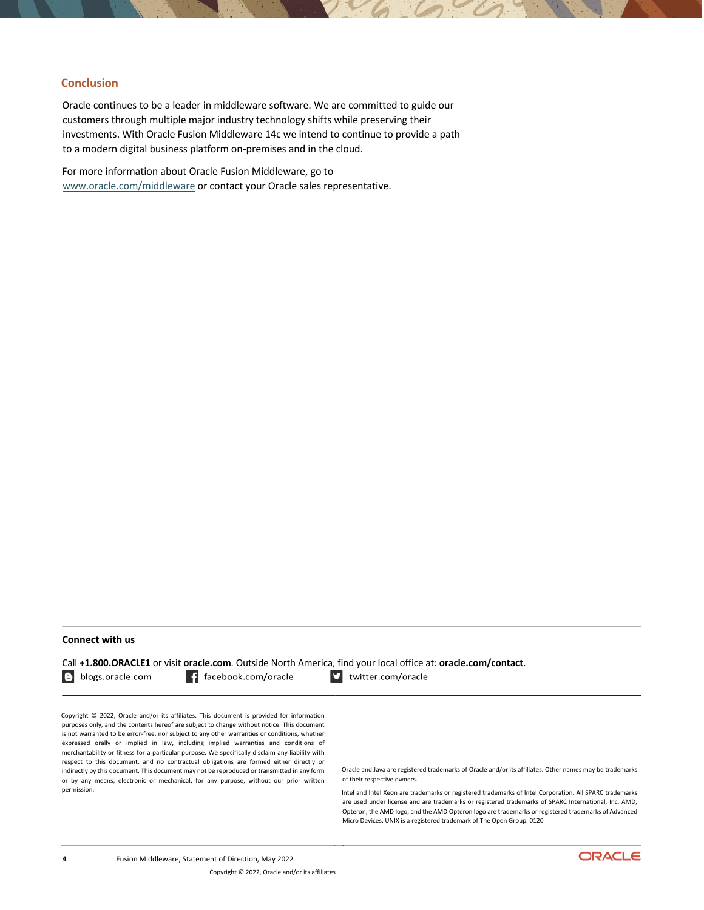## **Conclusion**

Oracle continues to be a leader in middleware software. We are committed to guide our customers through multiple major industry technology shifts while preserving their investments. With Oracle Fusion Middleware 14c we intend to continue to provide a path to a modern digital business platform on-premises and in the cloud.

For more information about Oracle Fusion Middleware, go to www.oracle.com/middleware or contact your Oracle sales representative.

#### **Connect with us**

Call +**1.800.ORACLE1** or visit **oracle.com**. Outside North America, find your local office at: **oracle.com/contact**.

B blogs.oracle.com

f facebook.com/oracle

v twitter.com/oracle

Copyright © 2022, Oracle and/or its affiliates. This document is provided for information purposes only, and the contents hereof are subject to change without notice. This document is not warranted to be error-free, nor subject to any other warranties or conditions, whether expressed orally or implied in law, including implied warranties and conditions of merchantability or fitness for a particular purpose. We specifically disclaim any liability with respect to this document, and no contractual obligations are formed either directly or indirectly by this document. This document may not be reproduced or transmitted in any form or by any means, electronic or mechanical, for any purpose, without our prior written permission.

Oracle and Java are registered trademarks of Oracle and/or its affiliates. Other names may be trademarks of their respective owners.

Intel and Intel Xeon are trademarks or registered trademarks of Intel Corporation. All SPARC trademarks are used under license and are trademarks or registered trademarks of SPARC International, Inc. AMD, Opteron, the AMD logo, and the AMD Opteron logo are trademarks or registered trademarks of Advanced Micro Devices. UNIX is a registered trademark of The Open Group. 0120